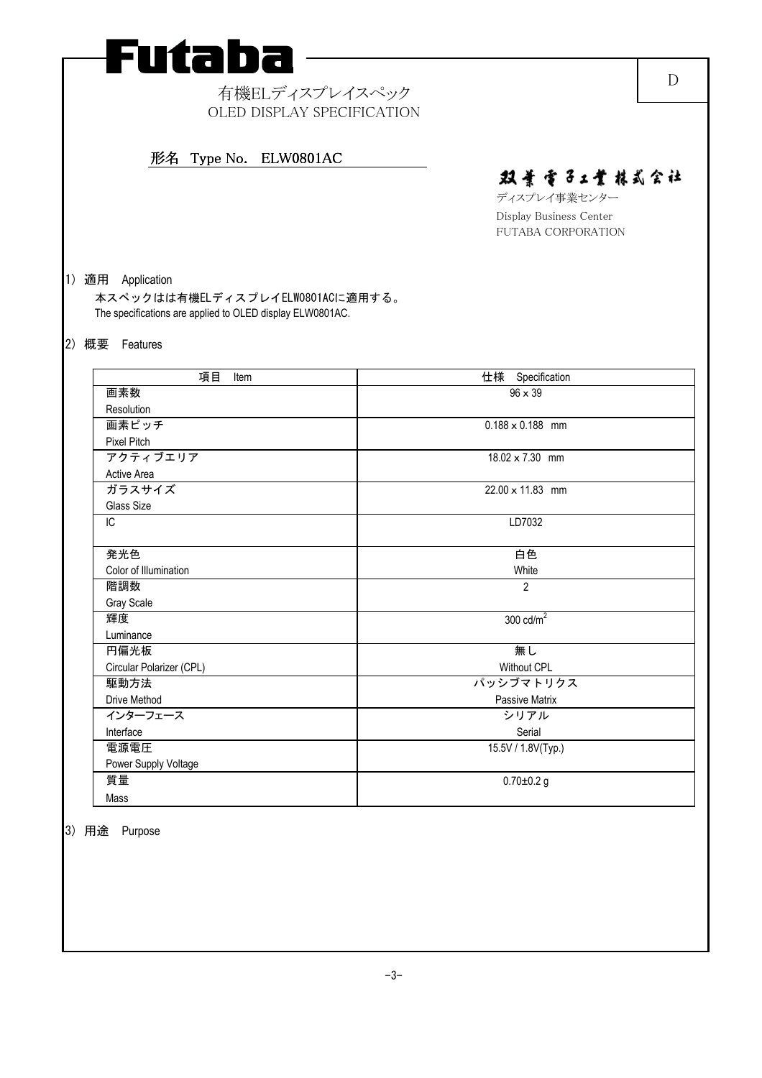# Futaba

# 有機ELディスプレイスペック OLED DISPLAY SPECIFICATION

# 形名 Type No. ELW0801AC 形名 Type No. ELW0801AC

# 双景雪子工業株式会社

ディスプレイ事業センター Display Business Center FUTABA CORPORATION

### 1) 適用 Application

本スペックはは有機ELディスプレイELW0801ACに適用する。 The specifications are applied to OLED display ELW0801AC.

### 2) 概要 Features

| 項目<br>Item               | 仕様 Specification        |
|--------------------------|-------------------------|
| 画素数                      | $96 \times 39$          |
| Resolution               |                         |
| 画素ピッチ                    | $0.188 \times 0.188$ mm |
| <b>Pixel Pitch</b>       |                         |
| アクティブエリア                 | 18.02 × 7.30 mm         |
| Active Area              |                         |
| ガラスサイズ                   | 22.00 x 11.83 mm        |
| Glass Size               |                         |
| IC                       | LD7032                  |
|                          |                         |
| 発光色                      | 白色                      |
| Color of Illumination    | White                   |
| 階調数                      | $\overline{2}$          |
| Gray Scale               |                         |
| 輝度                       | 300 $\text{cd/m}^2$     |
| Luminance                |                         |
| 円偏光板                     | 無し                      |
| Circular Polarizer (CPL) | <b>Without CPL</b>      |
| 駆動方法                     | パッシブマトリクス               |
| Drive Method             | Passive Matrix          |
| インターフェース                 | シリアル                    |
| Interface                | Serial                  |
| 電源電圧                     | 15.5V / 1.8V(Typ.)      |
| Power Supply Voltage     |                         |
| 質量                       | $0.70 + 0.2$ g          |
| Mass                     |                         |

#### 3) 用途 Purpose

D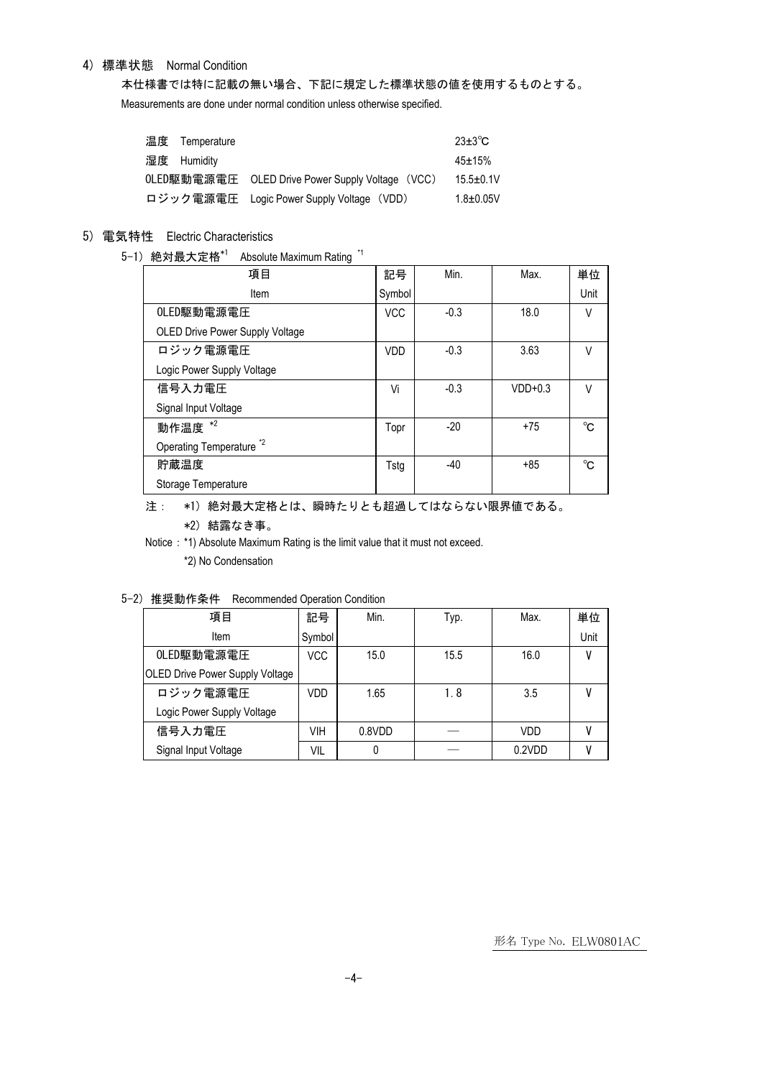### 4) 標準状態 Normal Condition

本仕様書では特に記載の無い場合、下記に規定した標準状態の値を使用するものとする。

Measurements are done under normal condition unless otherwise specified.

| 温度 Temperature |                                                  | $23+3$ °C       |
|----------------|--------------------------------------------------|-----------------|
| 湿度 Humidity    |                                                  | $45 \pm 15%$    |
|                | 0LED駆動電源電圧 OLED Drive Power Supply Voltage (VCC) | $15.5 \pm 0.1V$ |
|                | ロジック電源電圧 Logic Power Supply Voltage (VDD)        | $1.8 + 0.05V$   |

# 5) 電気特性 Electric Characteristics

5-1) 絶対最大定格\*1 Absolute Maximum Rating \*1

| 項目                                  | 記号         | Min.   | Max.      | 単位     |
|-------------------------------------|------------|--------|-----------|--------|
| Item                                | Symbol     |        |           | Unit   |
| OLED駆動電源電圧                          | <b>VCC</b> | $-0.3$ | 18.0      | $\vee$ |
| OLED Drive Power Supply Voltage     |            |        |           |        |
| ロジック電源電圧                            | <b>VDD</b> | $-0.3$ | 3.63      | V      |
| Logic Power Supply Voltage          |            |        |           |        |
| 信号入力電圧                              | Vi         | $-0.3$ | $VDD+0.3$ | V      |
| Signal Input Voltage                |            |        |           |        |
| 動作温度 $*^2$                          | Topr       | $-20$  | $+75$     | °C     |
| Operating Temperature <sup>*2</sup> |            |        |           |        |
| 貯蔵温度                                | Tstg       | $-40$  | +85       | °C     |
| Storage Temperature                 |            |        |           |        |

#### 注: \*1) 絶対最大定格とは、瞬時たりとも超過してはならない限界値である。

#### \*2) 結露なき事。

Notice: \*1) Absolute Maximum Rating is the limit value that it must not exceed.

\*2) No Condensation

#### 5-2) 推奨動作条件 Recommended Operation Condition

| 項目                                     | 記号     | Min.   | Typ. | Max.       | 単位   |
|----------------------------------------|--------|--------|------|------------|------|
| Item                                   | Symbol |        |      |            | Unit |
| OLED駆動電源電圧                             | VCC    | 15.0   | 15.5 | 16.0       |      |
| <b>OLED Drive Power Supply Voltage</b> |        |        |      |            |      |
| ロジック電源電圧                               | VDD    | 1.65   | 1.8  | 3.5        |      |
| Logic Power Supply Voltage             |        |        |      |            |      |
| 信号入力電圧                                 | VIH    | 0.8VDD |      | <b>VDD</b> |      |
| Signal Input Voltage                   | VIL    |        |      | 0.2VDD     |      |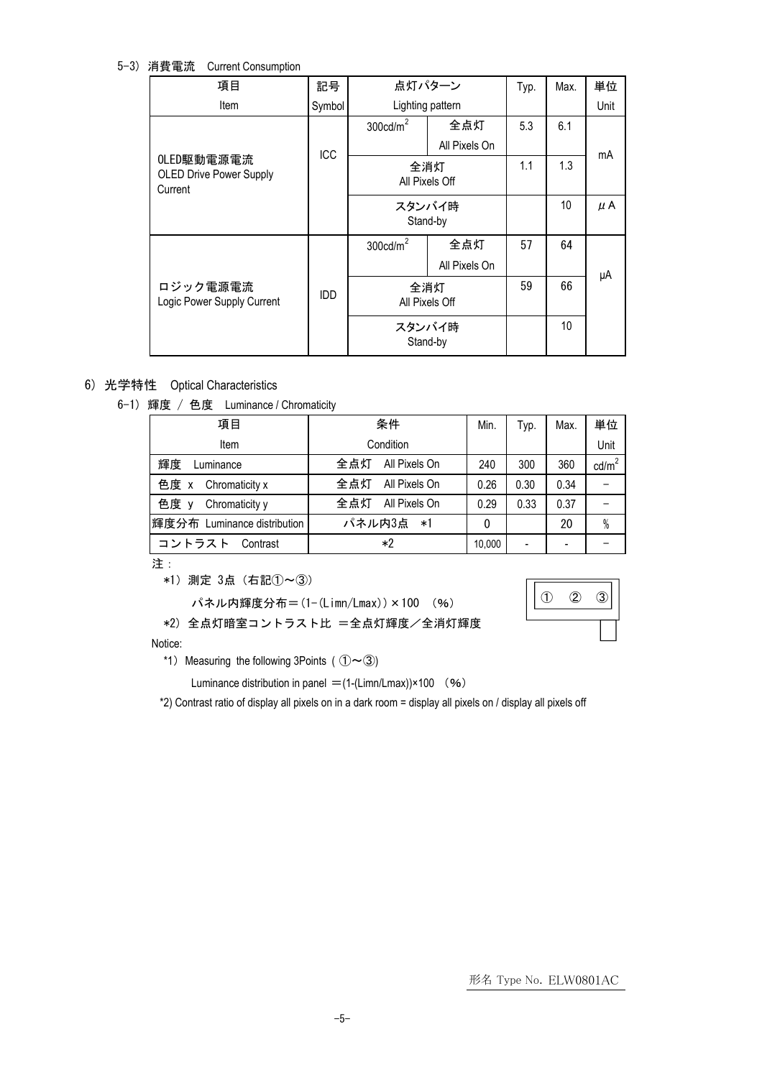5-3) 消費電流 Current Consumption

| 項目                                                      | 記号     | 点灯パターン              |                | Typ.            | Max.    | 単位   |
|---------------------------------------------------------|--------|---------------------|----------------|-----------------|---------|------|
| Item                                                    | Symbol | Lighting pattern    |                |                 |         | Unit |
|                                                         |        | $300 \text{cd/m}^2$ | 全点灯            | 5.3             | 6.1     |      |
|                                                         | ICC    |                     | All Pixels On  |                 |         | mA   |
| OLED駆動電源電流<br><b>OLED Drive Power Supply</b><br>Current |        | 全消灯                 |                | 1.1             | 1.3     |      |
|                                                         |        |                     | All Pixels Off |                 |         |      |
|                                                         | スタンバイ時 |                     |                | 10 <sup>1</sup> | $\mu$ A |      |
|                                                         |        | Stand-by            |                |                 |         |      |
|                                                         |        | $300 \text{cd/m}^2$ | 全点灯            | 57              | 64      |      |
|                                                         |        |                     | All Pixels On  |                 |         | μA   |
| ロジック電源電流                                                | IDD    | 全消灯                 |                | 59              | 66      |      |
| Logic Power Supply Current                              |        |                     | All Pixels Off |                 |         |      |
|                                                         |        | スタンバイ時              |                |                 | 10      |      |
|                                                         |        | Stand-by            |                |                 |         |      |

## 6) 光学特性 Optical Characteristics

6-1) 輝度 / 色度 Luminance / Chromaticity

| 項目                          | 条件                   | Min.   | Typ. | Max.                     | 単位              |
|-----------------------------|----------------------|--------|------|--------------------------|-----------------|
| Item                        | Condition            |        |      |                          | Unit            |
| 輝度<br>Luminance             | 全点灯<br>All Pixels On | 240    | 300  | 360                      | $\text{cd/m}^2$ |
| 色度 x<br>Chromaticity x      | 全点灯<br>All Pixels On | 0.26   | 0.30 | 0.34                     |                 |
| 色度 y<br>Chromaticity y      | 全点灯<br>All Pixels On | 0.29   | 0.33 | 0.37                     |                 |
| 輝度分布 Luminance distribution | パネル内3点<br>— ∗1       | 0      |      | 20                       | $\%$            |
| コントラスト<br>Contrast          | *2                   | 10,000 |      | $\overline{\phantom{0}}$ |                 |

#### 注:

\*1)測定 3点(右記①~③)

パネル内輝度分布=(1-(Limn/Lmax))×100 (%)

\*2) 全点灯暗室コントラスト比 =全点灯輝度/全消灯輝度

#### Notice:

\*1) Measuring the following 3Points (  $(\mathbb{O}\sim3)$ 

Luminance distribution in panel =  $(1-(Limn/Lmax)) \times 100$  (%)

\*2) Contrast ratio of display all pixels on in a dark room = display all pixels on / display all pixels off

形名 Type No. ELW0801AC

① ② ③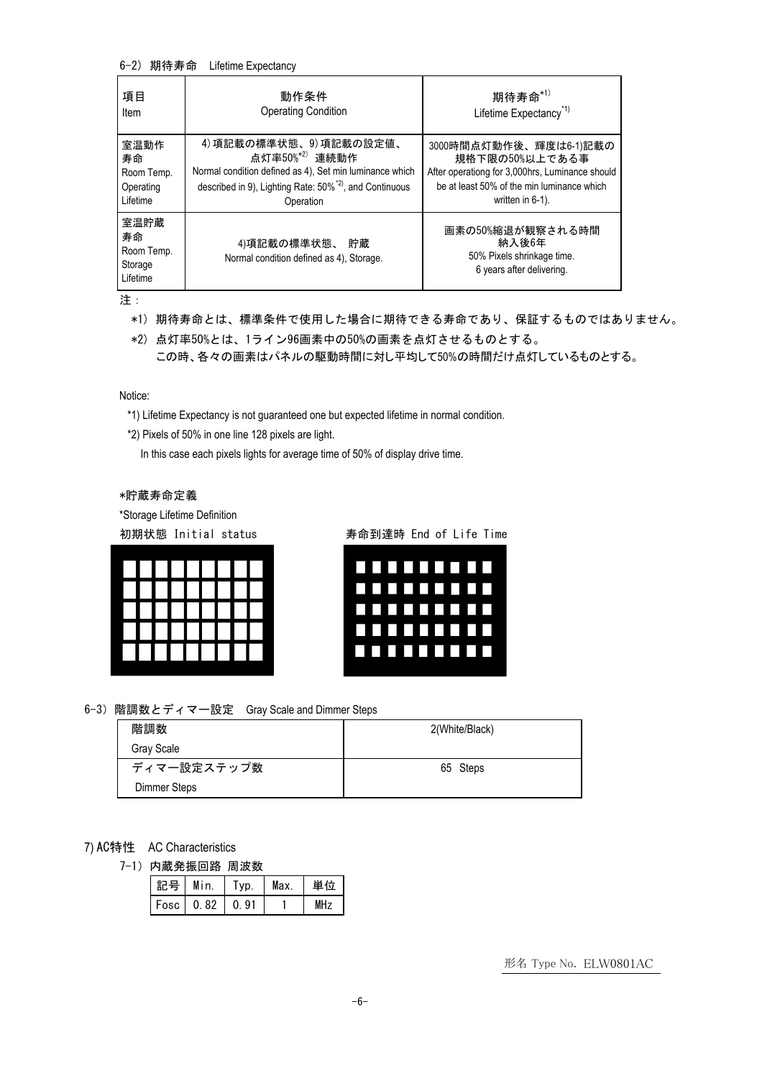#### 6-2) 期待寿命 Lifetime Expectancy

| 項目                                              | 動作条件                                                                | 期待寿命 $*1)$                                                                           |
|-------------------------------------------------|---------------------------------------------------------------------|--------------------------------------------------------------------------------------|
| Item                                            | <b>Operating Condition</b>                                          | Lifetime Expectancy <sup>*1)</sup>                                                   |
| 室温動作                                            | 4)項記載の標準状態、9)項記載の設定値、                                               | 3000時間点灯動作後、輝度は6-1)記載の                                                               |
| 寿命                                              | 点灯率50%* <sup>2)</sup> 連続動作                                          | 規格下限の50%以上である事                                                                       |
| Room Temp.                                      | Normal condition defined as 4), Set min luminance which             | After operationg for 3,000hrs, Luminance should                                      |
| Operating                                       | described in 9), Lighting Rate: 50% <sup>*2)</sup> , and Continuous | be at least 50% of the min luminance which                                           |
| Lifetime                                        | Operation                                                           | written in 6-1).                                                                     |
| 室温貯蔵<br>寿命<br>Room Temp.<br>Storage<br>Lifetime | 4)項記載の標準状態、 貯蔵<br>Normal condition defined as 4), Storage.          | 画素の50%縮退が観察される時間<br>納入後6年<br>50% Pixels shrinkage time.<br>6 years after delivering. |

注:

- \*1) 期待寿命とは、標準条件で使用した場合に期待できる寿命であり、保証するものではありません。
- \*2) 点灯率50%とは、1ライン96画素中の50%の画素を点灯させるものとする。 この時、各々の画素はパネルの駆動時間に対し平均して50%の時間だけ点灯しているものとする。

Notice:

- \*1) Lifetime Expectancy is not guaranteed one but expected lifetime in normal condition.
- \*2) Pixels of 50% in one line 128 pixels are light.

In this case each pixels lights for average time of 50% of display drive time.

\*貯蔵寿命定義

\*Storage Lifetime Definition



初期状態 Initial status 寿命到達時 End of Life Time



6-3)階調数とディマー設定 Gray Scale and Dimmer Steps

| 階調数          | 2(White/Black) |
|--------------|----------------|
| Gray Scale   |                |
| ディマー設定ステップ数  | 65 Steps       |
| Dimmer Steps |                |

#### 7) AC特性 AC Characteristics

7-1)内蔵発振回路 周波数

| 記号 | Min.      | Tvp. | Max | 単位 |
|----|-----------|------|-----|----|
|    | Fosc 0.82 | 0.91 |     |    |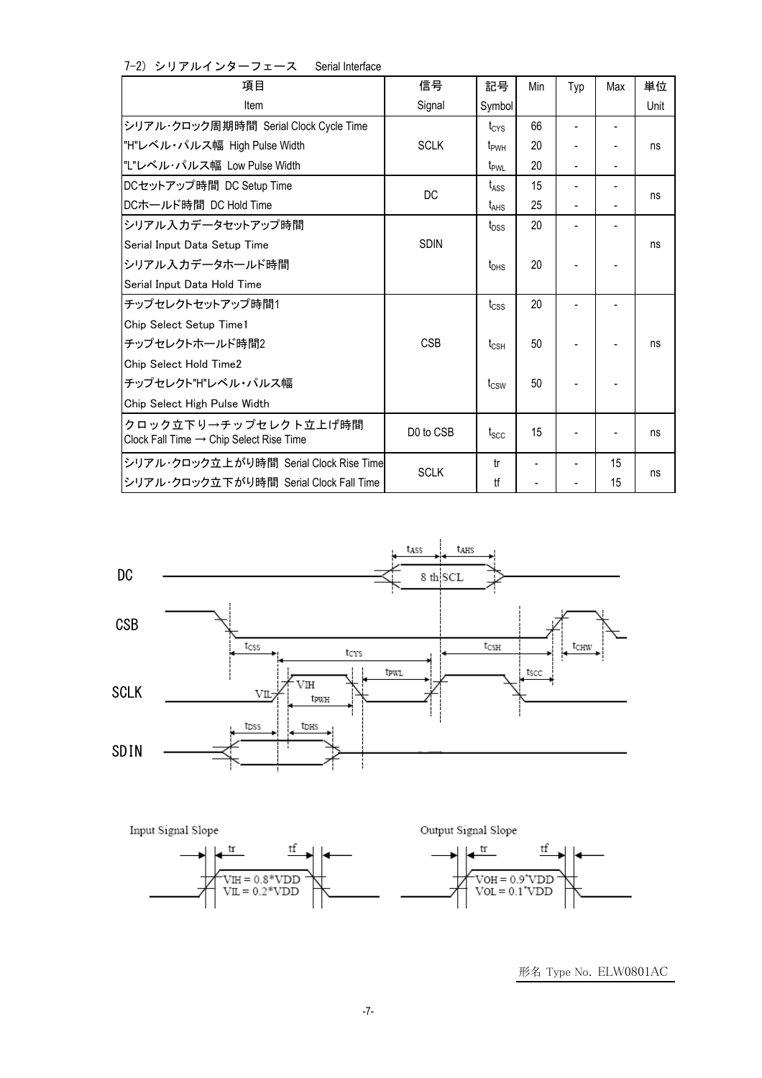| 項目                                                                          | 信号          | 記号               | Min | Typ            | Max | 単位   |
|-----------------------------------------------------------------------------|-------------|------------------|-----|----------------|-----|------|
| Item                                                                        | Signal      | Symbol           |     |                |     | Unit |
| シリアル・クロック周期時間 Serial Clock Cycle Time                                       |             | $t_{CYS}$        | 66  |                |     |      |
| "H"レベル・パルス幅 High Pulse Width                                                | <b>SCLK</b> | t <sub>pwH</sub> | 20  | $\overline{a}$ |     | ns   |
| "L"レベル・パルス幅 Low Pulse Width                                                 |             | t <sub>PWL</sub> | 20  | L,             |     |      |
| DCセットアップ時間 DC Setup Time                                                    | DC          | t <sub>ASS</sub> | 15  | $\overline{a}$ |     |      |
| DCホールド時間 DC Hold Time                                                       |             | $t_{\text{AHS}}$ | 25  | $\overline{a}$ |     | ns   |
| シリアル入力データセットアップ時間                                                           |             | t <sub>DSS</sub> | 20  | $\overline{a}$ |     |      |
| Serial Input Data Setup Time                                                | <b>SDIN</b> |                  |     |                |     | ns   |
| シリアル入カデータホールド時間                                                             |             | $t_{\text{DHS}}$ | 20  |                |     |      |
| Serial Input Data Hold Time                                                 |             |                  |     |                |     |      |
| チップセレクトセットアップ時間1                                                            |             | $t_{\text{CSS}}$ | 20  |                |     |      |
| Chip Select Setup Time1                                                     |             |                  |     |                |     |      |
| チップセレクトホールド時間2                                                              | <b>CSB</b>  | $t_{\text{CSH}}$ | 50  |                |     | ns   |
| Chip Select Hold Time2                                                      |             |                  |     |                |     |      |
| チップセレクト"H"レベル・パルス幅                                                          |             | t <sub>csw</sub> | 50  |                |     |      |
| Chip Select High Pulse Width                                                |             |                  |     |                |     |      |
| クロック立下り→チップセレクト立上げ時間<br>Clock Fall Time $\rightarrow$ Chip Select Rise Time | D0 to CSB   | t <sub>scc</sub> | 15  |                |     | ns   |
| シリアル・クロック立上がり時間 Serial Clock Rise Time                                      |             | tr               |     |                | 15  |      |
| シリアル・クロック立下がり時間 Serial Clock Fall Time                                      | <b>SCLK</b> | tf               |     |                | 15  | ns   |





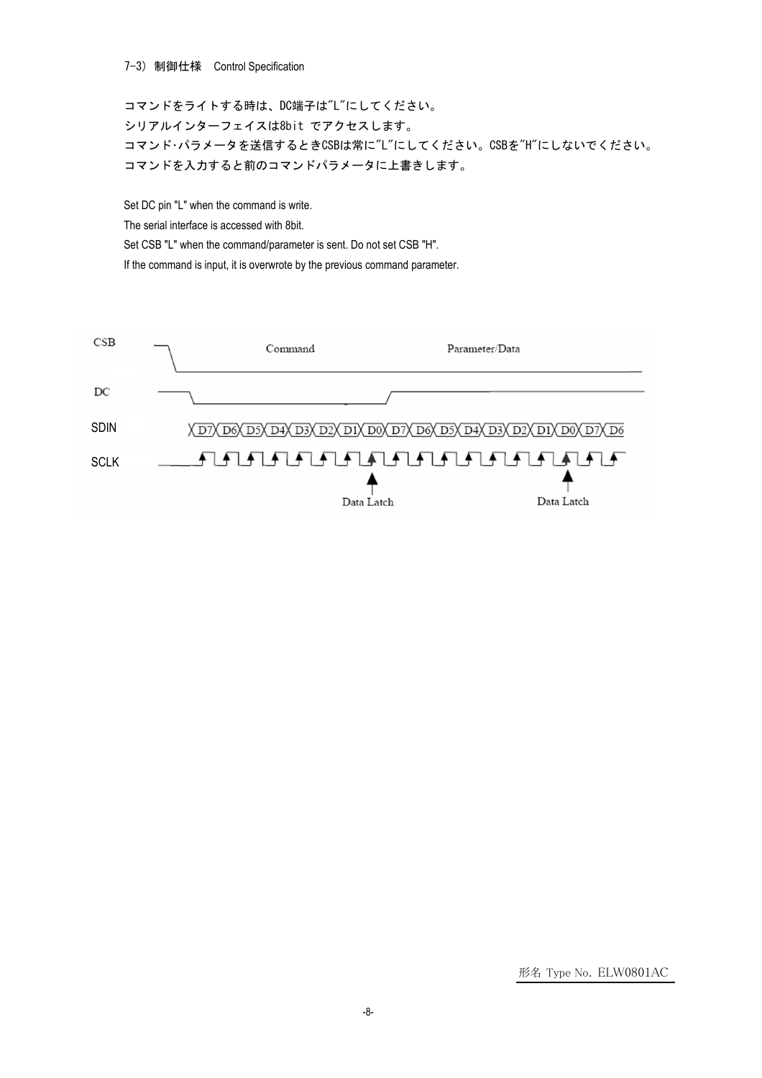#### 7-3) 制御仕様 Control Specification

コマンドをライトする時は、DC端子は"L"にしてください。 シリアルインターフェイスは8bit でアクセスします。 コマンド・パラメータを送信するときCSBは常に"L"にしてください。CSBを"H"にしないでください。 コマンドを入力すると前のコマンドパラメータに上書きします。

Set DC pin "L" when the command is write. The serial interface is accessed with 8bit. Set CSB "L" when the command/parameter is sent. Do not set CSB "H". If the command is input, it is overwrote by the previous command parameter.

| CSB         | Command | Parameter/Data                                                                  |            |
|-------------|---------|---------------------------------------------------------------------------------|------------|
| DC          |         |                                                                                 |            |
| <b>SDIN</b> |         | <u>X D7X D6X D5X D4X D3X D2X D1X D0X D7X D6X D5X D4X D3X D2X D1X D0X D7X D6</u> |            |
| <b>SCLK</b> |         | <del>ฅฅฅฅฅฅฅฅฅฅฅฅฅฅฅ</del><br>Data Latch                                        | Data Latch |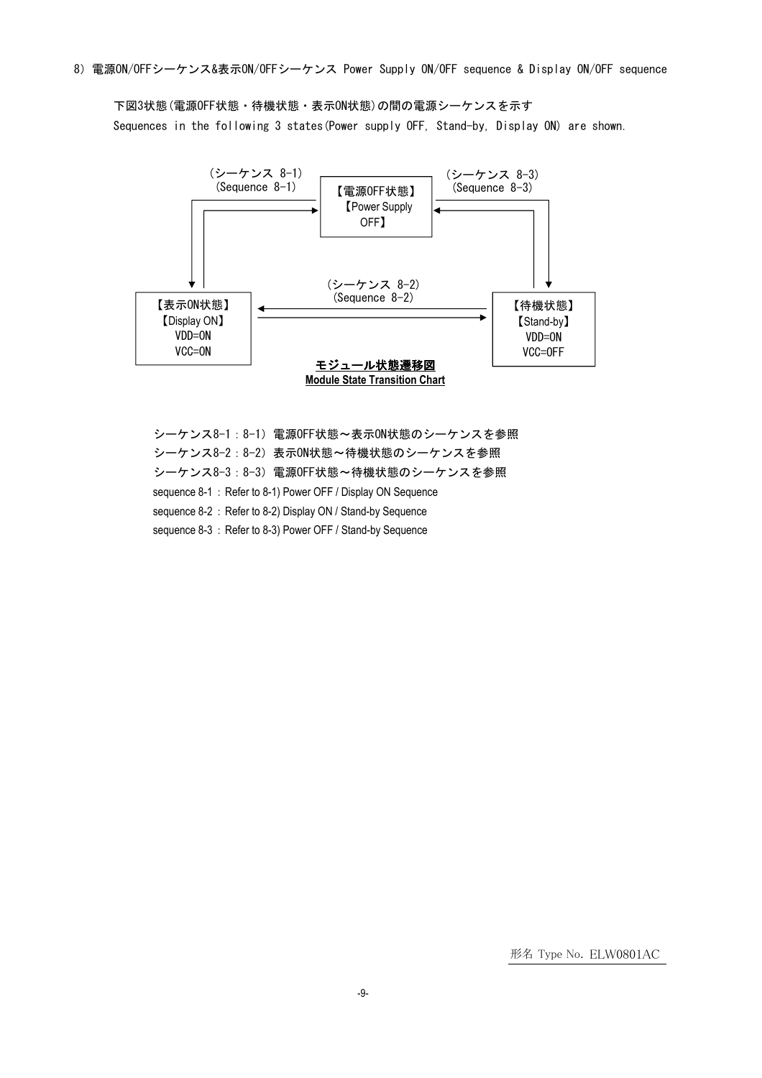8)電源ON/OFFシーケンス&表示ON/OFFシーケンス Power Supply ON/OFF sequence & Display ON/OFF sequence

下図3状態(電源OFF状態・待機状態・表示ON状態)の間の電源シーケンスを示す Sequences in the following 3 states(Power supply OFF, Stand-by, Display ON) are shown.



シーケンス8-1:8-1) 電源OFF状態~表示ON状態のシーケンスを参照 シーケンス8-2:8-2)表示ON状態~待機状態のシーケンスを参照 シーケンス8-3:8-3) 電源OFF状態~待機状態のシーケンスを参照 sequence 8-1: Refer to 8-1) Power OFF / Display ON Sequence sequence 8-2: Refer to 8-2) Display ON / Stand-by Sequence sequence 8-3: Refer to 8-3) Power OFF / Stand-by Sequence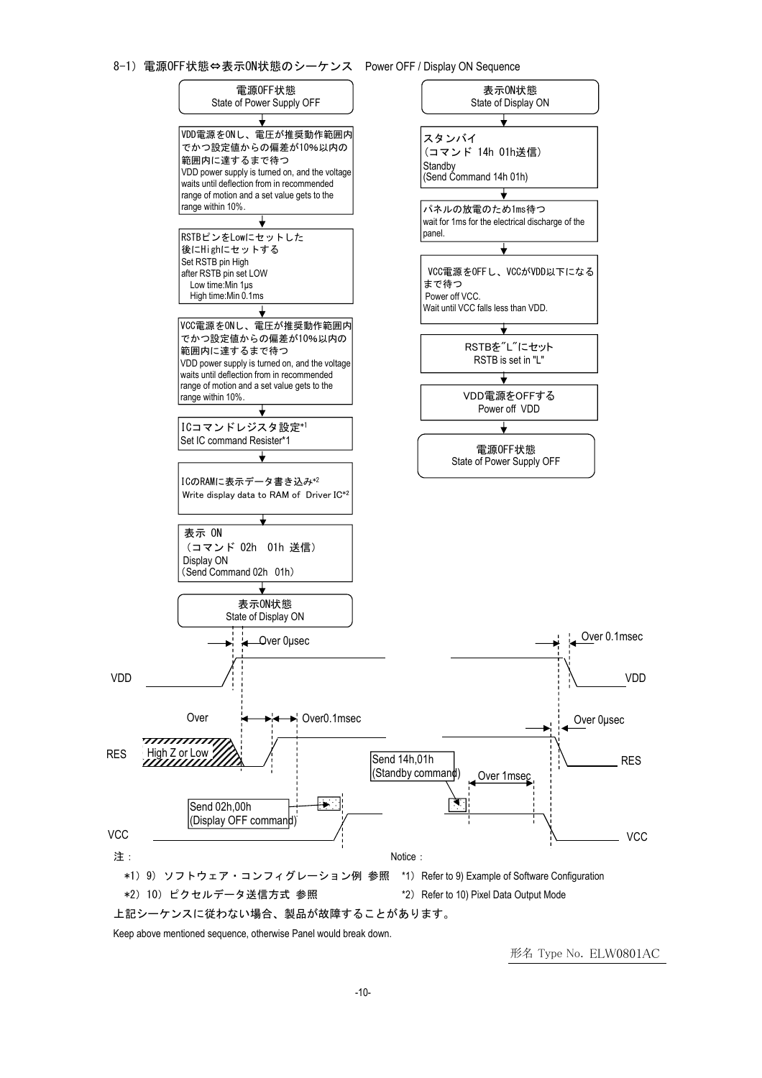



Keep above mentioned sequence, otherwise Panel would break down.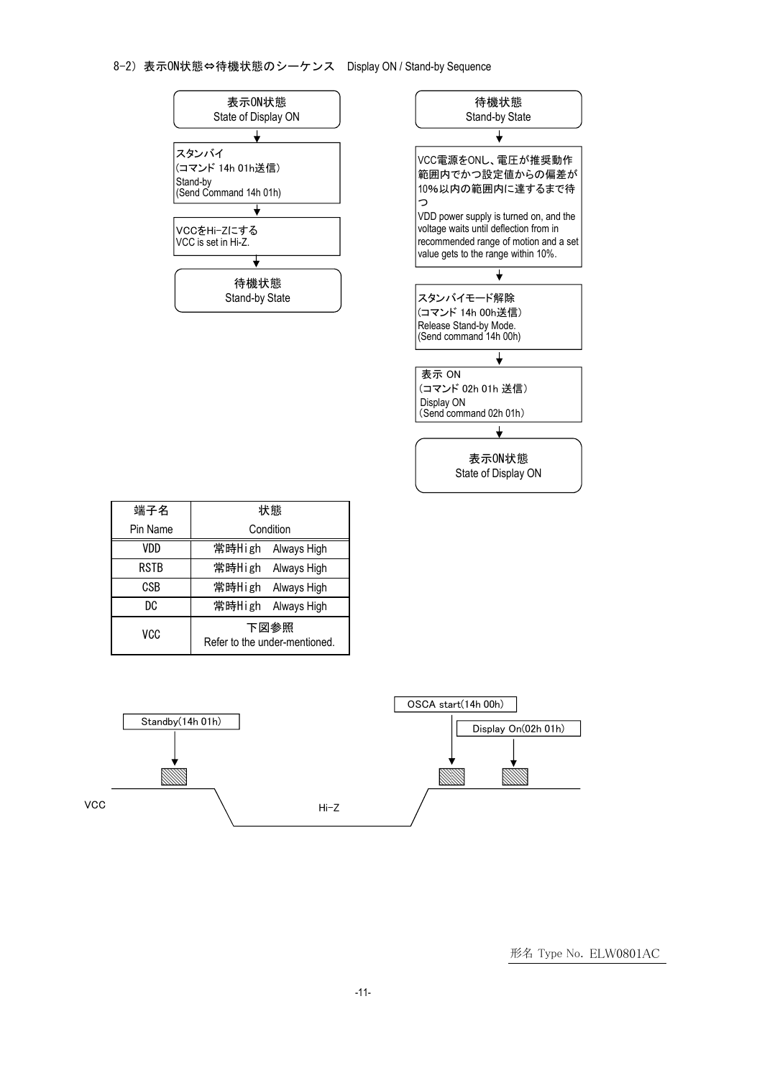#### 8-2)表示ON状態⇔待機状態のシーケンス Display ON / Stand-by Sequence





| 端子名         | 状態                                    |  |  |  |
|-------------|---------------------------------------|--|--|--|
| Pin Name    | Condition                             |  |  |  |
| VDD         | 常時High<br>Always High                 |  |  |  |
| <b>RSTB</b> | 常時High<br>Always High                 |  |  |  |
| CSB         | 常時High<br>Always High                 |  |  |  |
| DC          | 常時High<br>Always High                 |  |  |  |
| vcc         | 下図参照<br>Refer to the under-mentioned. |  |  |  |

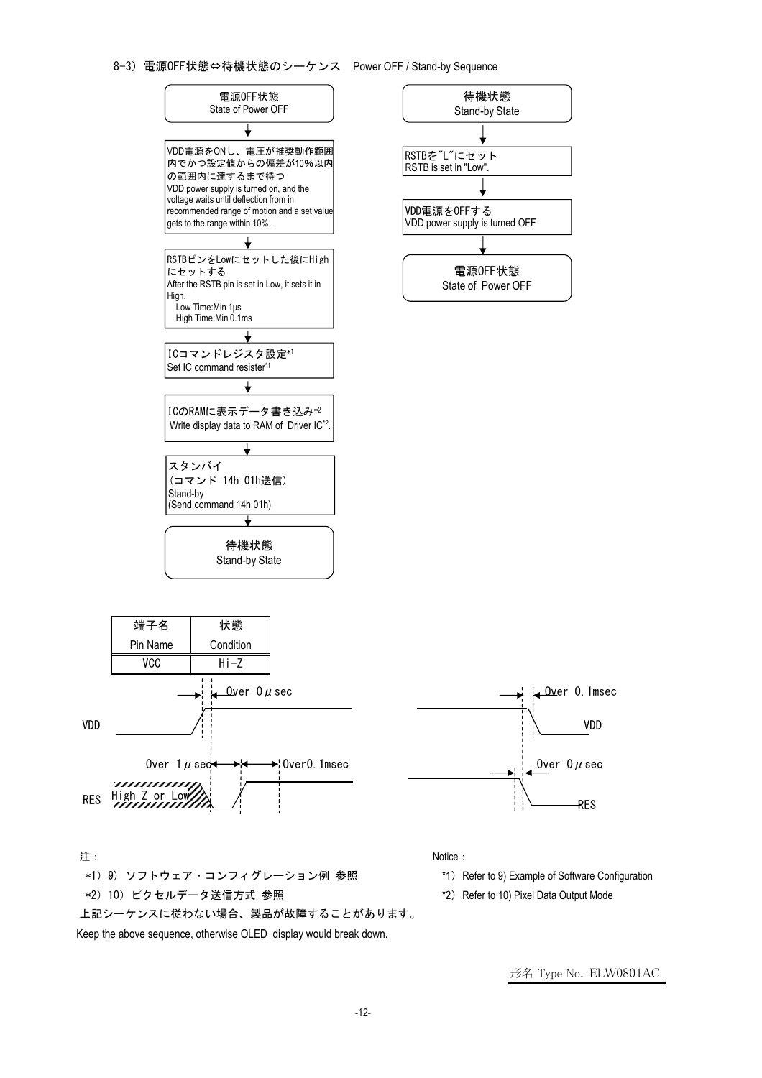#### 8-3)電源OFF状態⇔待機状態のシーケンス Power OFF / Stand-by Sequence



形名 Type No. ELW0801AC

Keep the above sequence, otherwise OLED display would break down.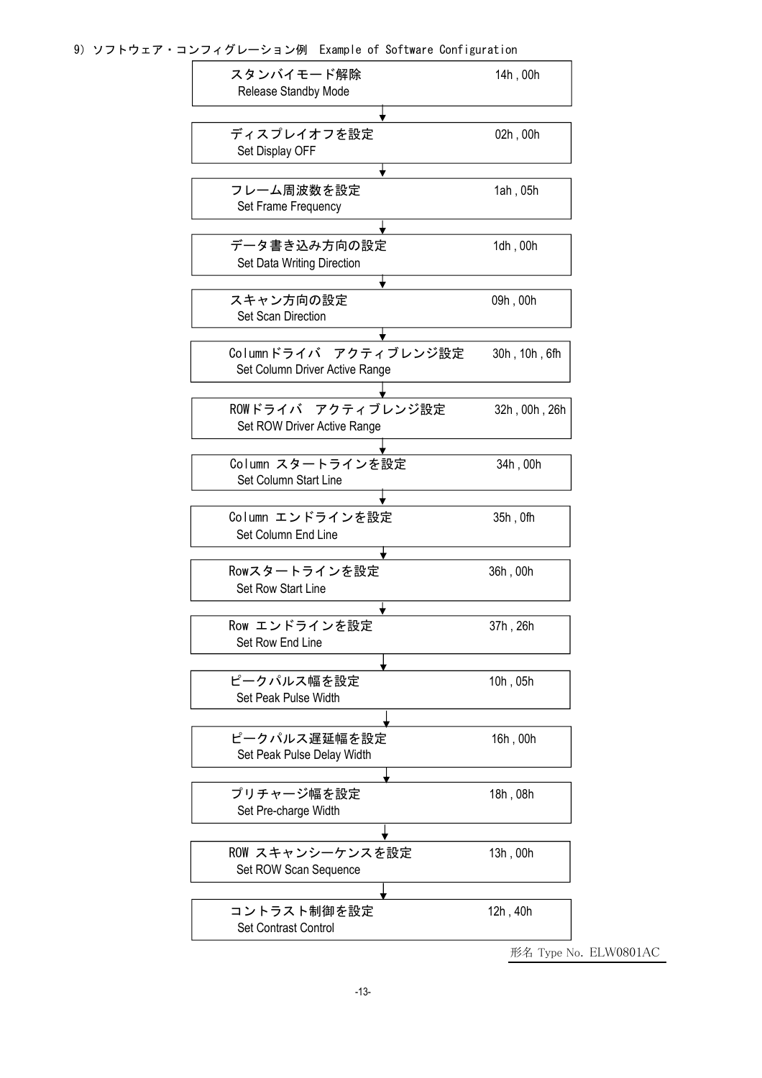9)ソフトウェア・コンフィグレーション例 Example of Software Configuration

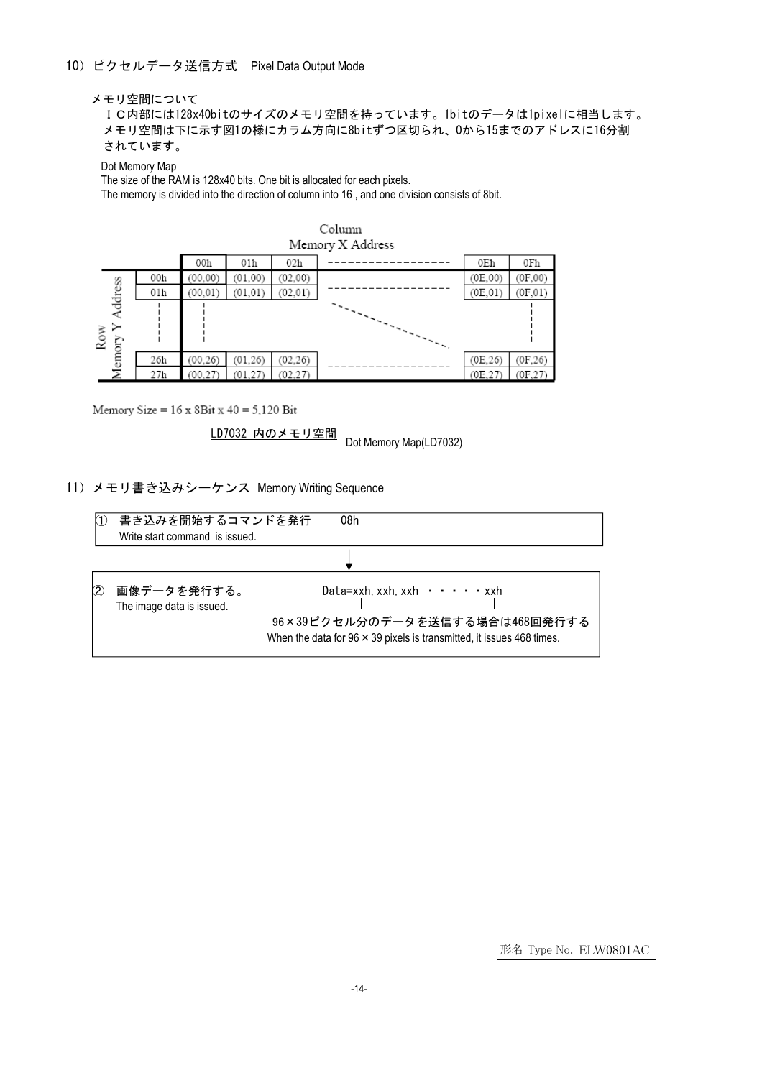#### メモリ空間について

IC内部には128x40bitのサイズのメモリ空間を持っています。1bitのデータは1pixelに相当します。 メモリ空間は下に示す図1の様にカラム方向に8bitずつ区切られ、0から15までのアドレスに16分割 されています。

Dot Memory Map

The size of the RAM is 128x40 bits. One bit is allocated for each pixels.

The memory is divided into the direction of column into 16 , and one division consists of 8bit.

| 02h<br>00h<br>01h                                                                       | 0Eh      | 0Fh      |
|-----------------------------------------------------------------------------------------|----------|----------|
| 00h<br>(01, 00)<br>(02.00)<br>(00, 00)                                                  | (0E.00)  | (0F, 00) |
| (01, 01)<br>(02, 01)<br>01h<br>(00, 01)                                                 | (0E, 01) | (0F, 01) |
| Address<br>Row<br>$\mathcal{L}_{\mathcal{L}_{\mathcal{L}_{\mathcal{L}_{\mathcal{L}}}}}$ |          |          |
| Memory<br>26h<br>(00.26)<br>(02, 26)<br>(01, 26)                                        | (0E, 26) | (0F, 26) |
| (01, 27)<br>(02, 27)<br>27 <sub>h</sub><br>(00.27)                                      | (0E,27   | (0F, 27) |



Memory Size =  $16 \times 8$ Bit  $x 40 = 5,120$  Bit

LD7032 内のメモリ空間<br>Dot Memory Map(LD7032)

#### 11)メモリ書き込みシーケンス Memory Writing Sequence

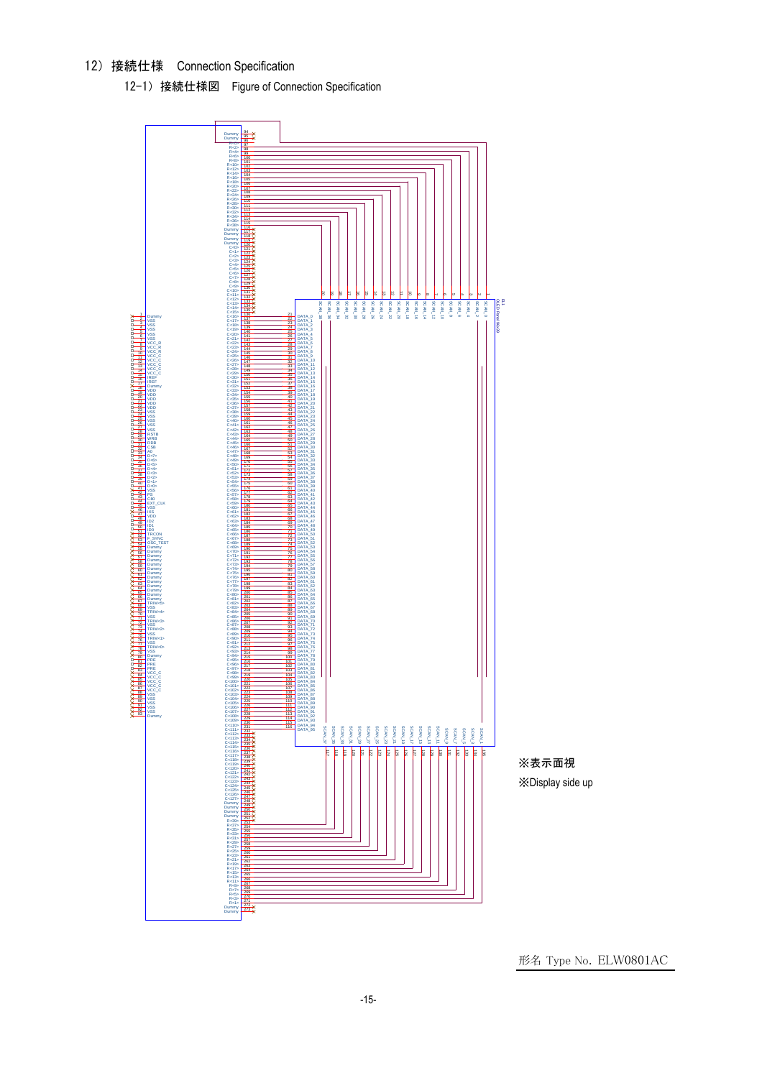12)接続仕様 Connection Specification

12-1) 接続仕様図 Figure of Connection Specification



※表示面視 ※Display side up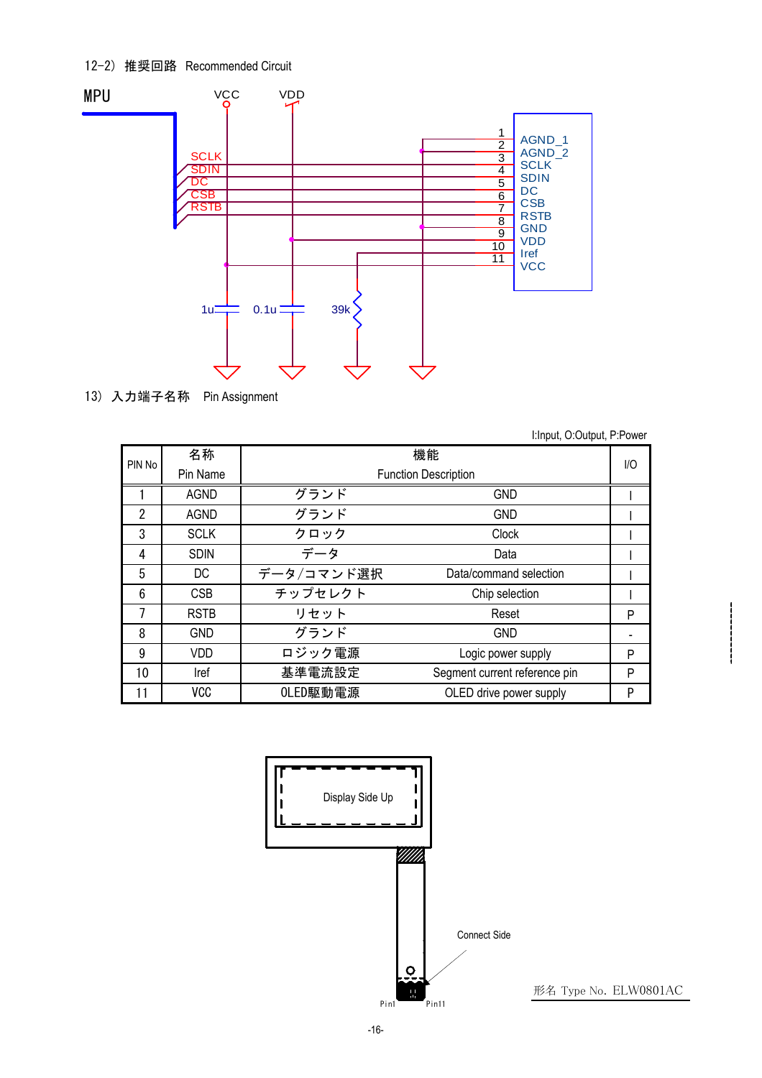# 12-2) 推奨回路 Recommended Circuit



13) 入力端子名称 Pin Assignment

|  | I:Input, O:Output, P:Power |  |
|--|----------------------------|--|
|--|----------------------------|--|

| PIN No | 名称          | 機能<br><b>Function Description</b> |                               |   |  |
|--------|-------------|-----------------------------------|-------------------------------|---|--|
|        | Pin Name    |                                   |                               |   |  |
|        | <b>AGND</b> | グランド                              | <b>GND</b>                    |   |  |
| 2      | <b>AGND</b> | グランド                              | <b>GND</b>                    |   |  |
| 3      | <b>SCLK</b> | クロック                              | Clock                         |   |  |
| 4      | <b>SDIN</b> | データ                               | Data                          |   |  |
| 5      | DC.         | データ/コマンド選択                        | Data/command selection        |   |  |
| 6      | <b>CSB</b>  | チップセレクト                           | Chip selection                |   |  |
|        | <b>RSTB</b> | リセット                              | Reset                         | P |  |
| 8      | <b>GND</b>  | グランド                              | <b>GND</b>                    |   |  |
| 9      | VDD         | ロジック電源                            | Logic power supply            | P |  |
| 10     | Iref        | 基準電流設定                            | Segment current reference pin | P |  |
| 11     | <b>VCC</b>  | OLED駆動電源                          | OLED drive power supply       | P |  |

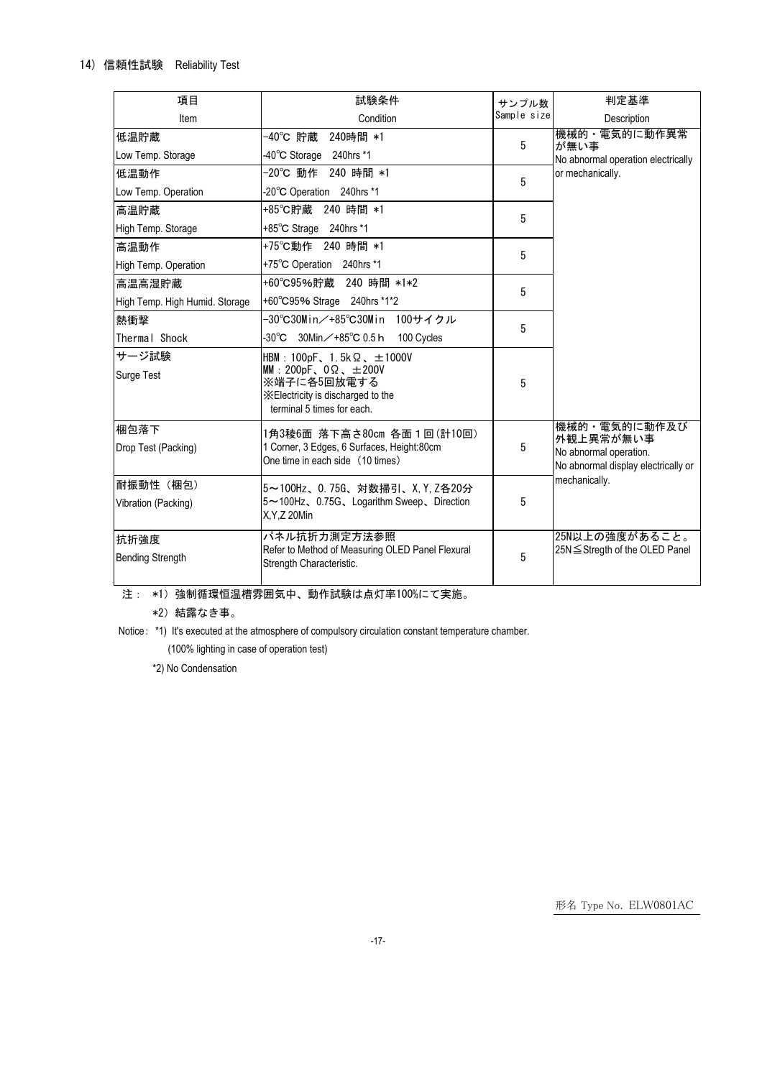# 14) 信頼性試験 Reliability Test

| 項目                               | 試験条件                                                                                                                                                            | サンプル数       | 判定基準                                                                                       |  |  |  |
|----------------------------------|-----------------------------------------------------------------------------------------------------------------------------------------------------------------|-------------|--------------------------------------------------------------------------------------------|--|--|--|
| Item                             | Condition                                                                                                                                                       | Sample size | Description                                                                                |  |  |  |
| 低温貯蔵                             | -40℃ 貯蔵<br>240時間 *1                                                                                                                                             | 5           | 機械的・電気的に動作異常<br>が無い事<br>No abnormal operation electrically                                 |  |  |  |
| Low Temp. Storage                | -40°C Storage 240hrs *1                                                                                                                                         |             |                                                                                            |  |  |  |
| 低温動作                             | -20℃ 動作 240 時間 *1                                                                                                                                               | 5           | or mechanically.                                                                           |  |  |  |
| Low Temp. Operation              | -20°C Operation 240hrs *1                                                                                                                                       |             |                                                                                            |  |  |  |
| 高温貯蔵                             | +85℃貯蔵 240 時間 *1                                                                                                                                                | 5           |                                                                                            |  |  |  |
| High Temp. Storage               | $+85^{\circ}$ C Strage 240hrs *1                                                                                                                                |             |                                                                                            |  |  |  |
| 高温動作                             | +75℃動作 240 時間 *1                                                                                                                                                | 5           |                                                                                            |  |  |  |
| <b>High Temp. Operation</b>      | +75°C Operation 240hrs *1                                                                                                                                       |             |                                                                                            |  |  |  |
| 高温高湿貯蔵                           | +60°C95%貯蔵 240 時間 *1*2                                                                                                                                          | 5           |                                                                                            |  |  |  |
| High Temp. High Humid. Storage   | +60°C95% Strage 240hrs *1*2                                                                                                                                     |             |                                                                                            |  |  |  |
| 熱衝擊                              | -30°C30Min/+85°C30Min 100サイクル                                                                                                                                   | 5           |                                                                                            |  |  |  |
| Thermal Shock                    | -30℃ 30Min/+85℃ 0.5 h<br>100 Cycles                                                                                                                             |             |                                                                                            |  |  |  |
| サージ試験<br><b>Surge Test</b>       | HBM: 100pF, 1.5k $\Omega$ , $\pm$ 1000V<br>MM: 200pF, $0\Omega$ , $\pm 200V$<br>※端子に各5回放電する<br>X Electricity is discharged to the<br>terminal 5 times for each. | 5           |                                                                                            |  |  |  |
| 梱包落下<br>Drop Test (Packing)      | 1角3稜6面 落下高さ80㎝ 各面1回(計10回)<br>1 Corner, 3 Edges, 6 Surfaces, Height:80cm<br>One time in each side (10 times)                                                     | 5           | 機械的・電気的に動作及び<br>外観上異常が無い事<br>No abnormal operation.<br>No abnormal display electrically or |  |  |  |
| 耐振動性 (梱包)<br>Vibration (Packing) | 5~100Hz、0.75G、対数掃引、X, Y, Z各20分<br>5~100Hz、0.75G、Logarithm Sweep、Direction<br>X, Y, Z 20Min                                                                      | 5           | mechanically.                                                                              |  |  |  |
| 抗折強度<br><b>Bending Strength</b>  | パネル抗折力測定方法参照<br>Refer to Method of Measuring OLED Panel Flexural<br>Strength Characteristic.                                                                    | 5           | 25N以上の強度があること。<br>25N ≤ Stregth of the OLED Panel                                          |  |  |  |

注: \*1)強制循環恒温槽雰囲気中、動作試験は点灯率100%にて実施。

\*2)結露なき事。

Notice: \*1) It's executed at the atmosphere of compulsory circulation constant temperature chamber.

(100% lighting in case of operation test)

\*2) No Condensation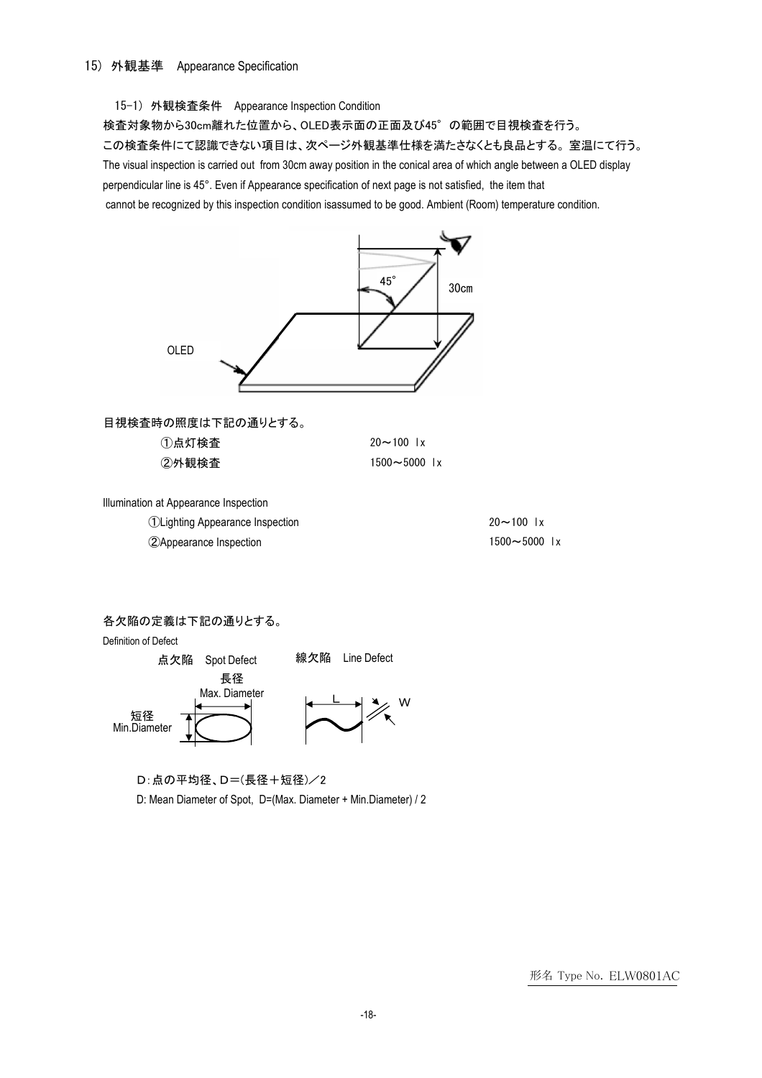## 15-1) 外観検査条件 Appearance Inspection Condition

検査対象物から30cm離れた位置から、OLED表示面の正面及び45°の範囲で目視検査を行う。 この検査条件にて認識できない項目は、次ページ外観基準仕様を満たさなくとも良品とする。 室温にて行う。 The visual inspection is carried out from 30cm away position in the conical area of which angle between a OLED display perpendicular line is 45°. Even if Appearance specification of next page is not satisfied, the item that cannot be recognized by this inspection condition isassumed to be good. Ambient (Room) temperature condition.



#### 各欠陥の定義は下記の通りとする。

Definition of Defect



D:点の平均径、D=(長径+短径)/2

D: Mean Diameter of Spot, D=(Max. Diameter + Min.Diameter) / 2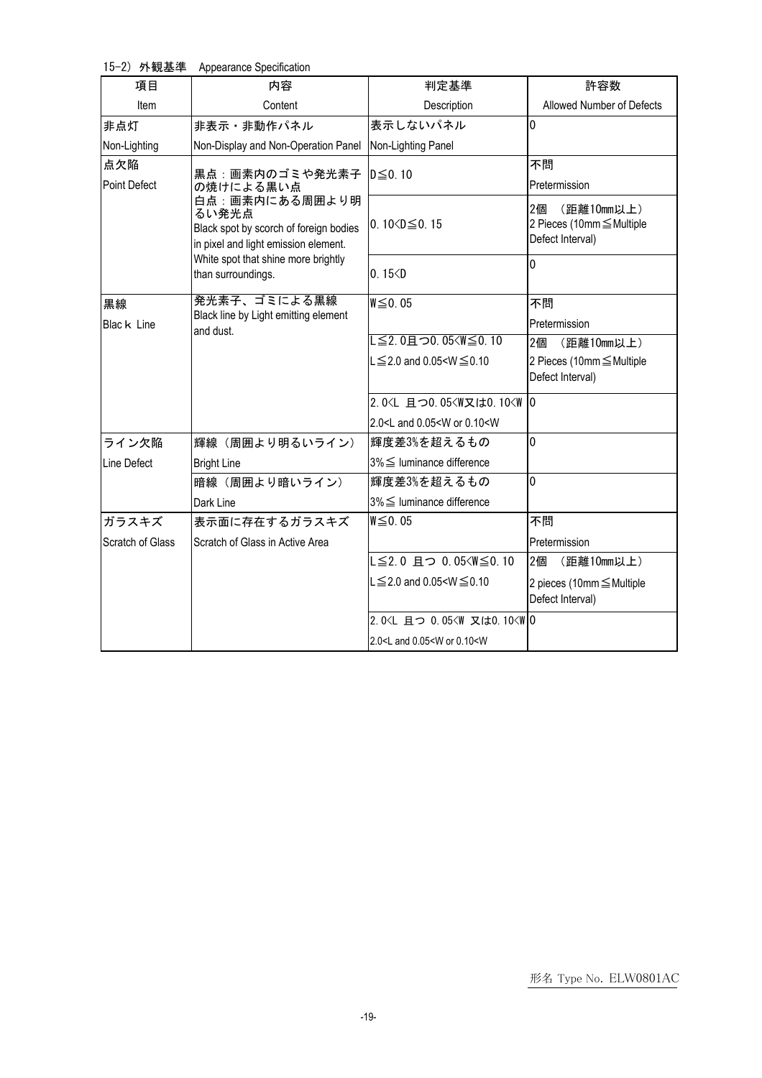15-2) 外観基準 Appearance Specification

| 項目                  | 内容                                                                                                        | 判定基準                                                              | 許容数                                                               |  |  |
|---------------------|-----------------------------------------------------------------------------------------------------------|-------------------------------------------------------------------|-------------------------------------------------------------------|--|--|
| Item                | Content                                                                                                   | Description                                                       | Allowed Number of Defects                                         |  |  |
| 非点灯                 | 非表示・非動作パネル                                                                                                | 表示しないパネル                                                          | $\overline{0}$                                                    |  |  |
| Non-Lighting        | Non-Display and Non-Operation Panel                                                                       | Non-Lighting Panel                                                |                                                                   |  |  |
| 点欠陥                 | 黒点:画素内のゴミや発光素子                                                                                            | $D \leq 0.10$                                                     | 不問                                                                |  |  |
| <b>Point Defect</b> | の焼けによる黒い点                                                                                                 |                                                                   | Pretermission                                                     |  |  |
|                     | 白点:画素内にある周囲より明<br>るい発光点<br>Black spot by scorch of foreign bodies<br>in pixel and light emission element. | 0.10 $\leq$ 0.15                                                  | 2個<br>(距離10mm以上)<br>2 Pieces (10mm ≤ Multiple<br>Defect Interval) |  |  |
|                     | White spot that shine more brightly                                                                       |                                                                   | $\mathbf 0$                                                       |  |  |
|                     | than surroundings.                                                                                        | 0.15 < D                                                          |                                                                   |  |  |
| 黒線                  | 発光素子、ゴミによる黒線                                                                                              | $W \leq 0.05$                                                     | 不問                                                                |  |  |
| Blac k Line         | Black line by Light emitting element<br>and dust.                                                         |                                                                   | Pretermission                                                     |  |  |
|                     |                                                                                                           | L≦2.0且つ0.05 <w≦0.10< td=""><td>2個<br/>(距離10mm以上)</td></w≦0.10<>   | 2個<br>(距離10mm以上)                                                  |  |  |
|                     |                                                                                                           | $L \le 2.0$ and 0.05 <w <math="">\le 0.10</w>                     | 2 Pieces (10mm ≤ Multiple<br>Defect Interval)                     |  |  |
|                     |                                                                                                           | 2.0 <l 0<="" td="" 且つ0.05<w又は0.10<w=""><td></td></l>              |                                                                   |  |  |
|                     |                                                                                                           | 2.0 <l 0.05<w="" 0.10<w<="" and="" or="" td=""><td></td></l>      |                                                                   |  |  |
| ライン欠陥               | 輝線 (周囲より明るいライン)                                                                                           | 輝度差3%を超えるもの                                                       | $\mathbf 0$                                                       |  |  |
| Line Defect         | <b>Bright Line</b>                                                                                        | $3\% \leq$ luminance difference                                   |                                                                   |  |  |
|                     | 暗線 (周囲より暗いライン)                                                                                            | 輝度差3%を超えるもの                                                       | $\overline{0}$                                                    |  |  |
|                     | Dark Line                                                                                                 | 3% ≤ luminance difference                                         |                                                                   |  |  |
| ガラスキズ               | 表示面に存在するガラスキズ                                                                                             | W≤0.05                                                            | 不問                                                                |  |  |
| Scratch of Glass    | Scratch of Glass in Active Area                                                                           |                                                                   | Pretermission                                                     |  |  |
|                     |                                                                                                           | L≦2.0 且つ 0.05 <w≦0.10< td=""><td>2個<br/>(距離10mm以上)</td></w≦0.10<> | 2個<br>(距離10mm以上)                                                  |  |  |
|                     |                                                                                                           | $L \le 2.0$ and 0.05 <w <math="">\le 0.10</w>                     | 2 pieces (10mm ≤ Multiple<br>Defect Interval)                     |  |  |
|                     |                                                                                                           | 2.0 <l 0.05<w="" 0<="" td="" 且つ="" 又は0.10<w=""><td></td></l>      |                                                                   |  |  |
|                     |                                                                                                           | 2.0 <l 0.05<w="" 0.10<w<="" and="" or="" td=""><td></td></l>      |                                                                   |  |  |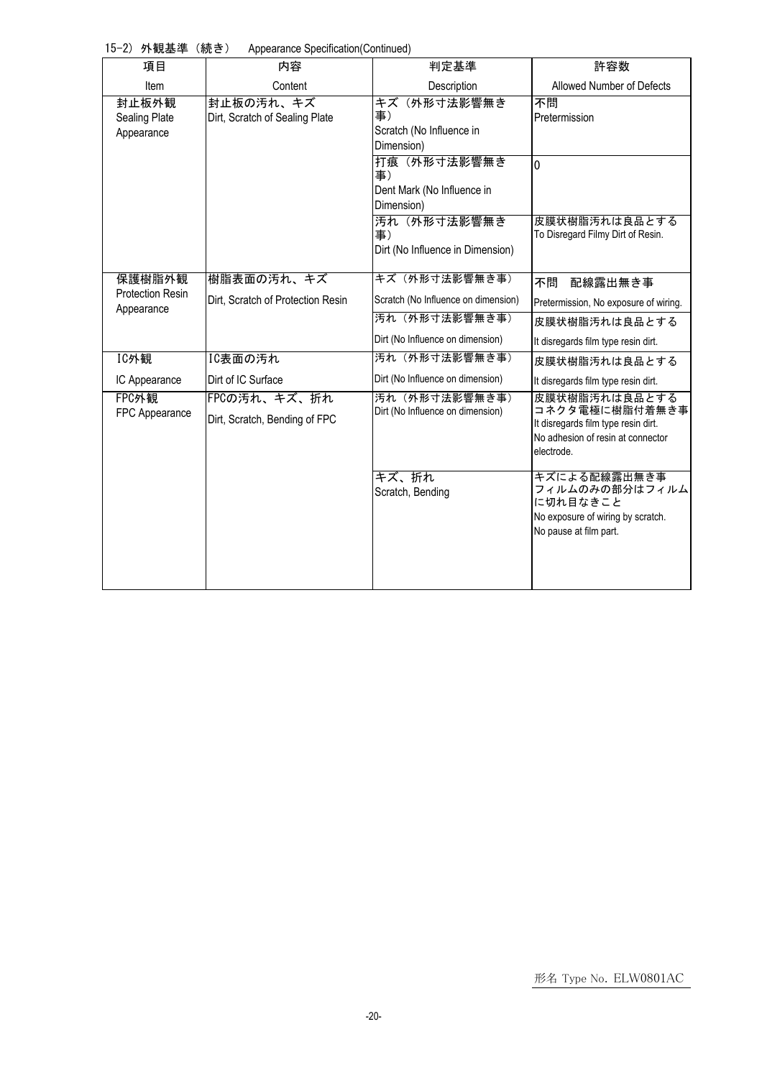15-2) 外観基準 (続き) Appearance Specification(Continued)

| $\frac{1}{2}$ is interesting to $\frac{1}{2}$<br>項目 | $\ldots$<br>内容                                | 判定基準                                                          | 許容数                                                                                                                       |
|-----------------------------------------------------|-----------------------------------------------|---------------------------------------------------------------|---------------------------------------------------------------------------------------------------------------------------|
| Item                                                | Content                                       | Description                                                   | Allowed Number of Defects                                                                                                 |
| 封止板外観<br>Sealing Plate<br>Appearance                | 封止板の汚れ、キズ<br>Dirt, Scratch of Sealing Plate   | キズ(外形寸法影響無き<br>事)<br>Scratch (No Influence in<br>Dimension)   | 不問<br>Pretermission                                                                                                       |
|                                                     |                                               | 打痕(外形寸法影響無き<br>事)<br>Dent Mark (No Influence in<br>Dimension) | $\overline{0}$                                                                                                            |
|                                                     |                                               | 汚れ(外形寸法影響無き<br>事)<br>Dirt (No Influence in Dimension)         | 皮膜状樹脂汚れは良品とする<br>To Disregard Filmy Dirt of Resin.                                                                        |
| 保護樹脂外観                                              | 樹脂表面の汚れ、キズ                                    | キズ(外形寸法影響無き事)                                                 | 不問<br>配線露出無き事                                                                                                             |
| <b>Protection Resin</b><br>Appearance               | Dirt, Scratch of Protection Resin             | Scratch (No Influence on dimension)                           | Pretermission, No exposure of wiring.                                                                                     |
|                                                     |                                               | 汚れ (外形寸法影響無き事)                                                | 皮膜状樹脂汚れは良品とする                                                                                                             |
|                                                     |                                               | Dirt (No Influence on dimension)                              | It disregards film type resin dirt.                                                                                       |
| IC外観                                                | IC表面の汚れ                                       | 汚れ (外形寸法影響無き事)                                                | 皮膜状樹脂汚れは良品とする                                                                                                             |
| IC Appearance                                       | Dirt of IC Surface                            | Dirt (No Influence on dimension)                              | It disregards film type resin dirt.                                                                                       |
| FPC外観<br>FPC Appearance                             | FPCの汚れ、キズ、折れ<br>Dirt, Scratch, Bending of FPC | 汚れ (外形寸法影響無き事)<br>Dirt (No Influence on dimension)            | 皮膜状樹脂汚れは良品とする<br>コネクタ電極に樹脂付着無き事<br>It disregards film type resin dirt.<br>No adhesion of resin at connector<br>electrode. |
|                                                     |                                               | キズ、折れ<br>Scratch, Bending                                     | キズによる配線露出無き事<br>フィルムのみの部分はフィルム<br>に切れ目なきこと<br>No exposure of wiring by scratch.<br>No pause at film part.                 |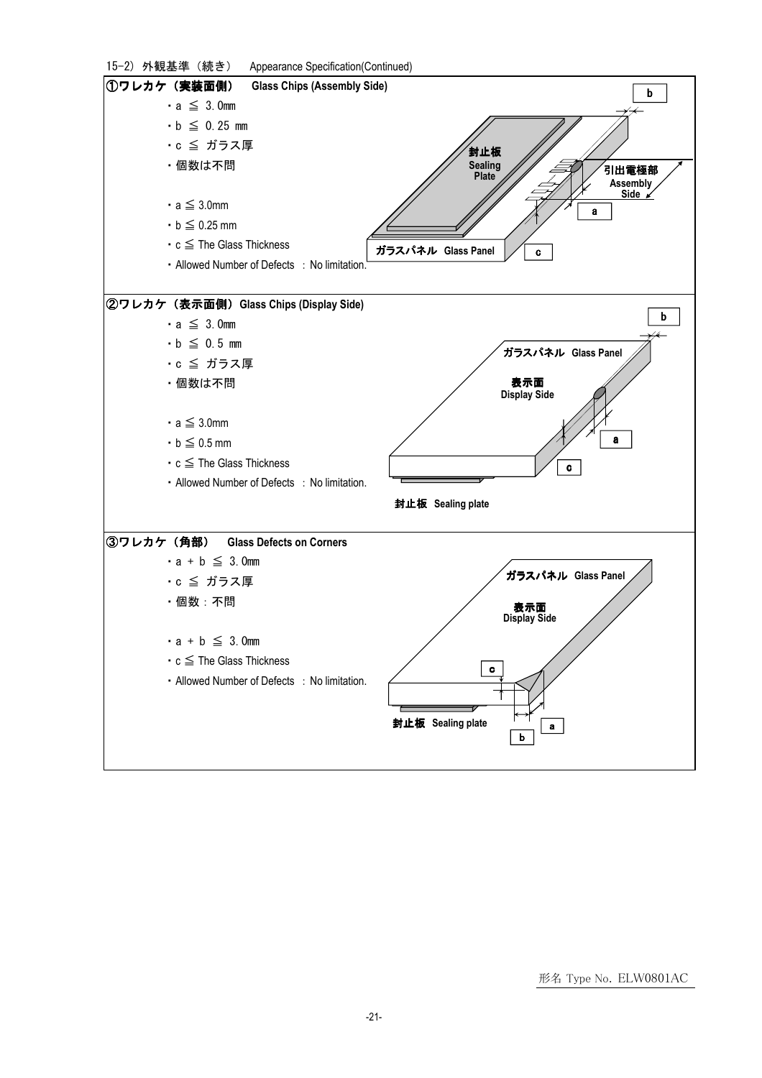| 15-2) 外観基準 (続き) Appearance Specification(Continued)                  |
|----------------------------------------------------------------------|
| ①ワレカケ(実装面側)<br><b>Glass Chips (Assembly Side)</b><br>b               |
| $\cdot$ a $\leq$ 3.0mm                                               |
| $\cdot$ b $\leq$ 0.25 mm                                             |
| ・c ≦ ガラス厚<br>封止板                                                     |
| ・個数は不問<br>Sealing<br>Plate<br>引出電極部                                  |
| Assembly<br>Side /                                                   |
| $\cdot$ a $\leq$ 3.0mm<br>a                                          |
| $\cdot$ b $\leq$ 0.25 mm                                             |
| $\cdot$ c $\leq$ The Glass Thickness<br>ガラスパネル Glass Panel<br>c      |
| • Allowed Number of Defects : No limitation.                         |
|                                                                      |
| ②ワレカケ(表示面側)Glass Chips (Display Side)<br>b<br>$\cdot$ a $\leq$ 3.0mm |
| $\cdot$ b $\leq$ 0.5 mm                                              |
| ガラスパネル Glass Panel<br>·c ≦ ガラス厚                                      |
| 表示面<br>・個数は不問                                                        |
| <b>Display Side</b>                                                  |
| $\cdot$ a $\leq$ 3.0mm                                               |
| a<br>$\cdot$ b $\leq$ 0.5 mm                                         |
| $\cdot$ c $\leq$ The Glass Thickness                                 |
| c<br>• Allowed Number of Defects : No limitation.                    |
| 封止板 Sealing plate                                                    |
|                                                                      |
| ③ワレカケ (角部) Glass Defects on Corners                                  |
| $\cdot$ a + b $\leq$ 3.0mm                                           |
| ガラスパネル Glass Panel<br>·c ≦ ガラス厚                                      |
| ・個数:不問                                                               |
| 表示面<br>Display Side                                                  |
| $\cdot$ a + b $\leq$ 3.0mm                                           |
| $\cdot$ c $\leq$ The Glass Thickness<br>$\mathbf c$                  |
| • Allowed Number of Defects : No limitation.                         |
|                                                                      |
| 封止板 Sealing plate<br>a                                               |
|                                                                      |
|                                                                      |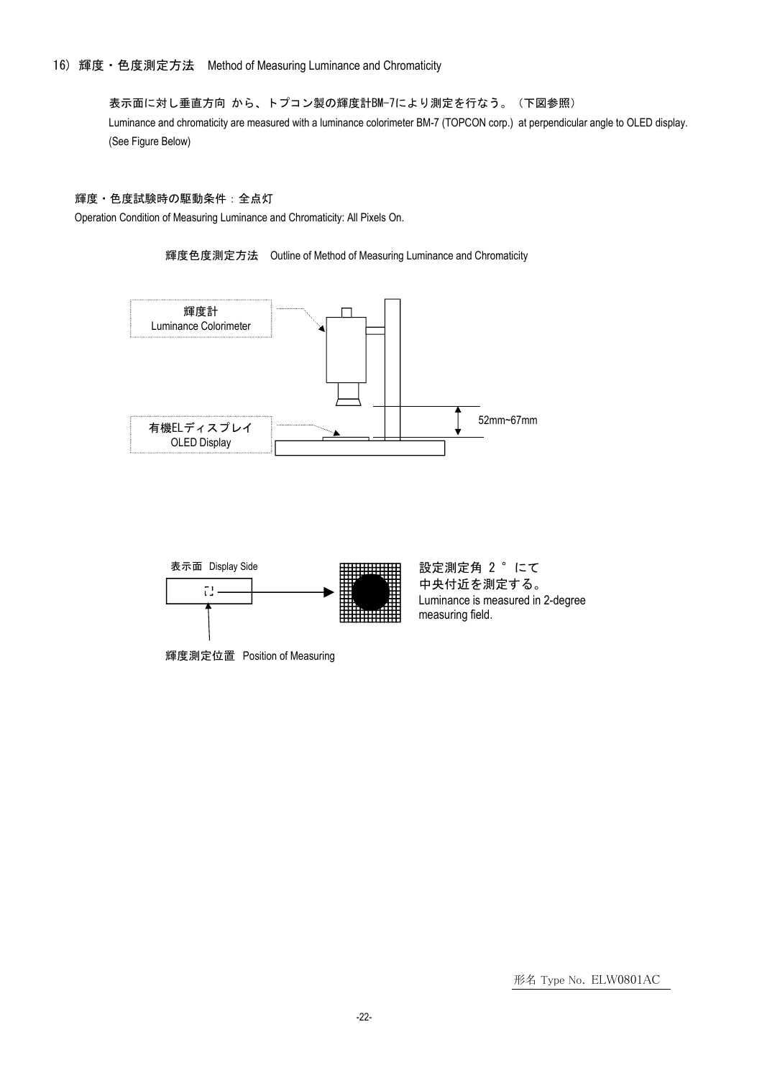16) 輝度・色度測定方法 Method of Measuring Luminance and Chromaticity

表示面に対し垂直方向 から、トプコン製の輝度計BM-7により測定を行なう。(下図参照) Luminance and chromaticity are measured with a luminance colorimeter BM-7 (TOPCON corp.) at perpendicular angle to OLED display. (See Figure Below)

中央付近を測定する。

#### 輝度・色度試験時の駆動条件:全点灯

Operation Condition of Measuring Luminance and Chromaticity: All Pixels On.







輝度測定位置 Position of Measuring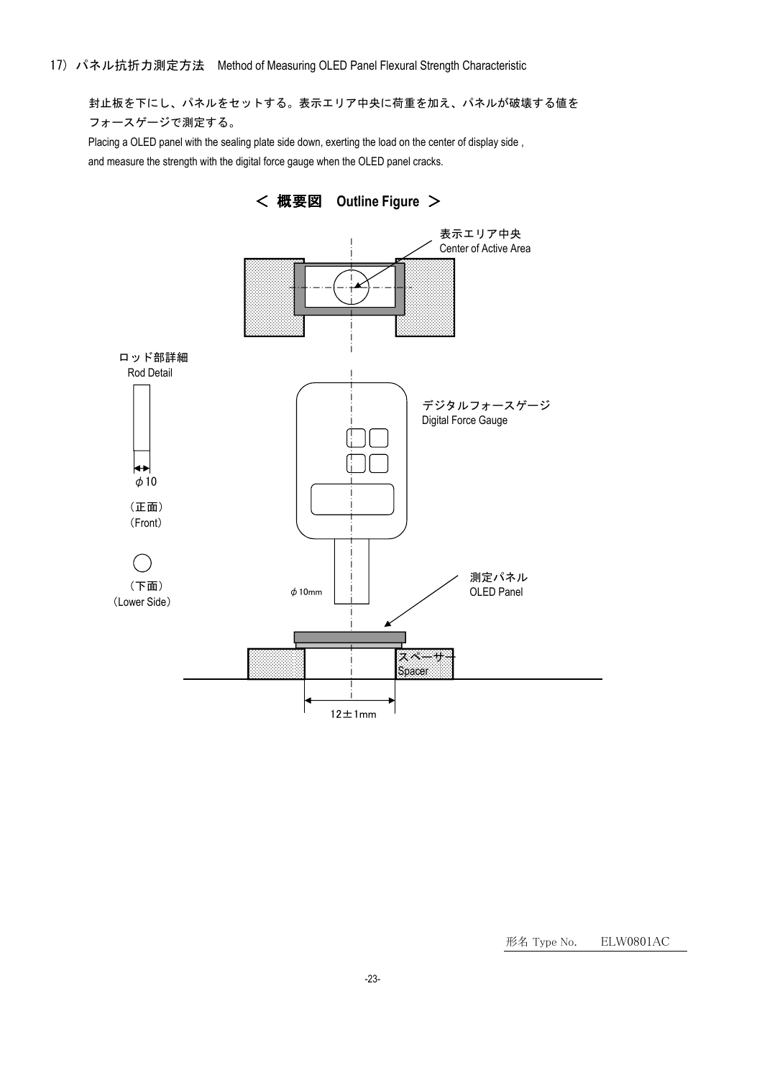封止板を下にし、パネルをセットする。表示エリア中央に荷重を加え、パネルが破壊する値を フォースゲージで測定する。

Placing a OLED panel with the sealing plate side down, exerting the load on the center of display side , and measure the strength with the digital force gauge when the OLED panel cracks.

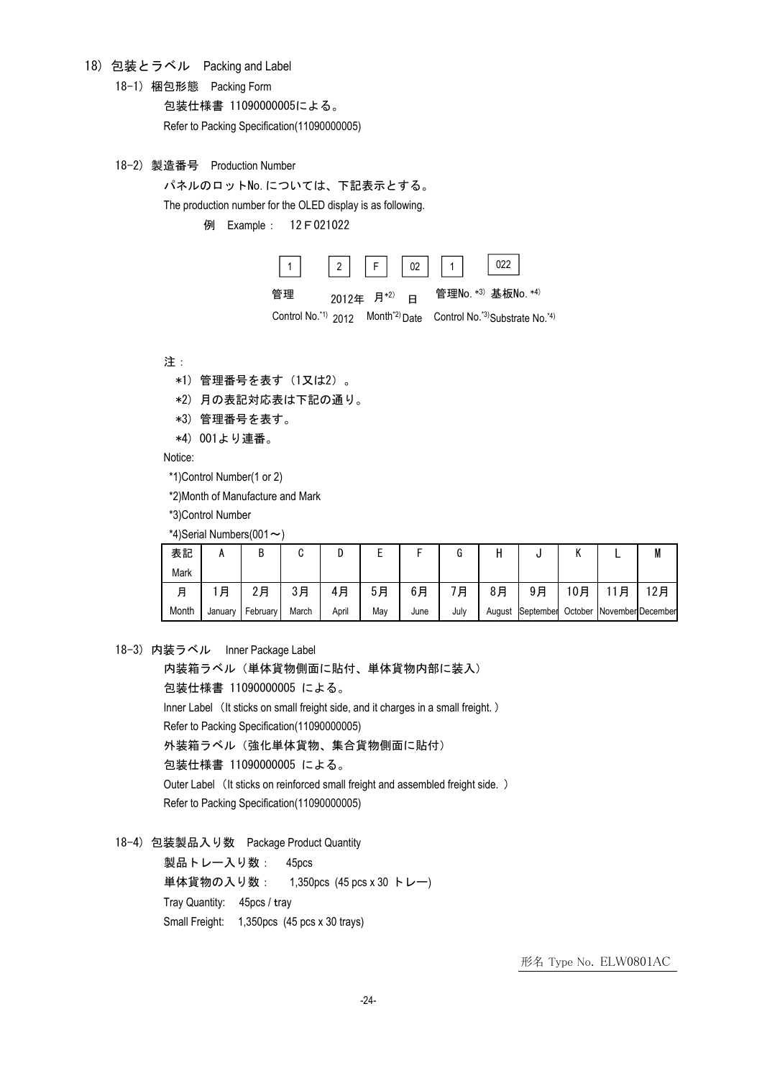18) 包装とラベル Packing and Label

18-1) 梱包形態 Packing Form

包装仕様書 11090000005による。

Refer to Packing Specification(11090000005)

18-2) 製造番号 Production Number

パネルのロットNo.については、下記表示とする。

The production number for the OLED display is as following.

例 Example: 12F021022



Control No.<sup>\*1)</sup> 2012 Month<sup>\*2)</sup> Date Control No.<sup>\*3)</sup>Substrate No.<sup>\*4)</sup>

注:

- \*1) 管理番号を表す(1又は2)。
- \*2) 月の表記対応表は下記の通り。
- \*3) 管理番号を表す。

\*4) 001より連番。

Notice:

\*1)Control Number(1 or 2)

\*2)Month of Manufacture and Mark

\*3)Control Number

\*4)Serial Numbers(001 $\sim$ )

| 表記    |         | ח<br>D   | u     |       |     |      | u    |    |                  |         |   | IVI               |
|-------|---------|----------|-------|-------|-----|------|------|----|------------------|---------|---|-------------------|
| Mark  |         |          |       |       |     |      |      |    |                  |         |   |                   |
| 月     | 月       | 2月       | 3月    | 4月    | 5月  | 6月   | 月    | 8月 | 9月               | 10月     | 月 | 2月                |
| Month | January | February | March | April | May | June | July |    | August September | October |   | November December |

18-3) 内装ラベル Inner Package Label

内装箱ラベル(単体貨物側面に貼付、単体貨物内部に装入) 包装仕様書 11090000005 による。 Inner Label (It sticks on small freight side, and it charges in a small freight.) Refer to Packing Specification(11090000005) 外装箱ラベル(強化単体貨物、集合貨物側面に貼付) 包装仕様書 11090000005 による。 Outer Label (It sticks on reinforced small freight and assembled freight side. ) Refer to Packing Specification(11090000005)

18-4) 包装製品入り数 Package Product Quantity

製品トレー入り数: 45pcs 単体貨物の入り数: 1,350pcs (45 pcs x 30 トレー) Tray Quantity: 45pcs / tray Small Freight: 1,350pcs (45 pcs x 30 trays)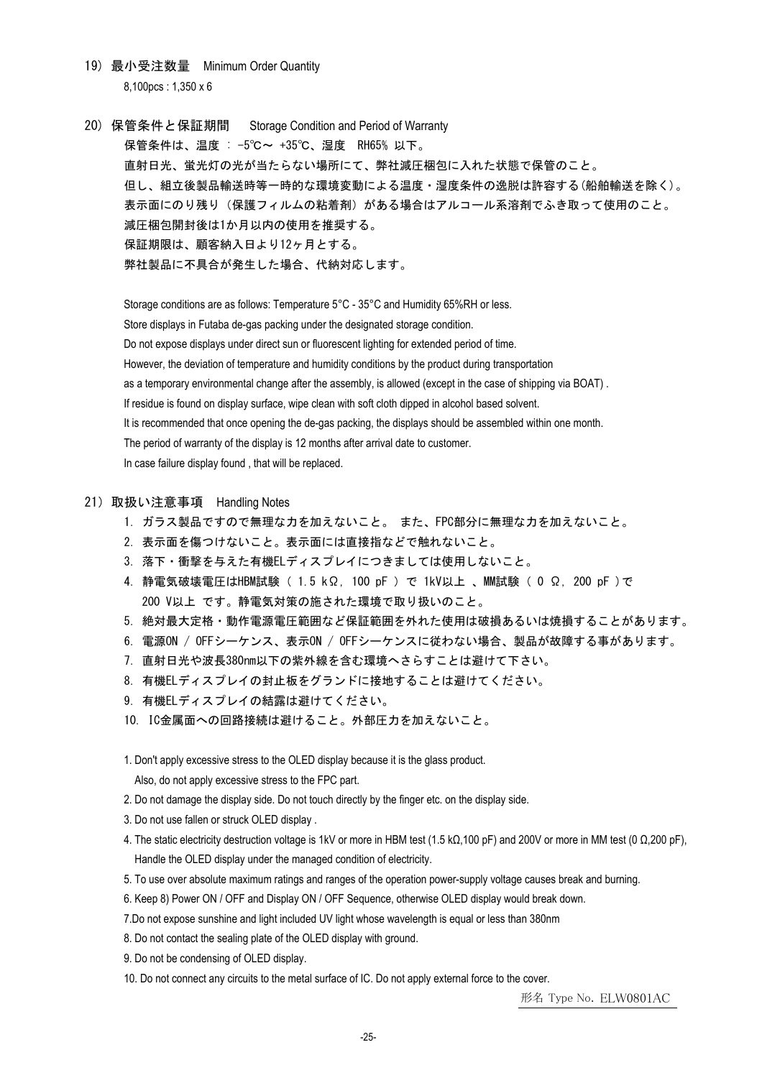- 19) 最小受注数量 Minimum Order Quantity 8,100pcs : 1,350 x 6
- 20) 保管条件と保証期間 Storage Condition and Period of Warranty 保管条件は、温度 : -5℃~ +35℃、湿度 RH65% 以下。 直射日光、蛍光灯の光が当たらない場所にて、弊社減圧梱包に入れた状態で保管のこと。 但し、組立後製品輸送時等一時的な環境変動による温度・湿度条件の逸脱は許容する(船舶輸送を除く)。 表示面にのり残り(保護フィルムの粘着剤)がある場合はアルコール系溶剤でふき取って使用のこと。 減圧梱包開封後は1か月以内の使用を推奨する。 保証期限は、顧客納入日より12ヶ月とする。 弊社製品に不具合が発生した場合、代納対応します。

Storage conditions are as follows: Temperature 5°C - 35°C and Humidity 65%RH or less. Store displays in Futaba de-gas packing under the designated storage condition. Do not expose displays under direct sun or fluorescent lighting for extended period of time. However, the deviation of temperature and humidity conditions by the product during transportation as a temporary environmental change after the assembly, is allowed (except in the case of shipping via BOAT) . If residue is found on display surface, wipe clean with soft cloth dipped in alcohol based solvent. It is recommended that once opening the de-gas packing, the displays should be assembled within one month. The period of warranty of the display is 12 months after arrival date to customer. In case failure display found , that will be replaced.

#### 21)取扱い注意事項 Handling Notes

- 1.ガラス製品ですので無理な力を加えないこと。 また、FPC部分に無理な力を加えないこと。
- 2.表示面を傷つけないこと。表示面には直接指などで触れないこと。
- 3.落下・衝撃を与えた有機ELディスプレイにつきましては使用しないこと。
- 4.静電気破壊電圧はHBM試験( 1.5 kΩ, 100 pF )で 1kV以上 、MM試験( 0 Ω, 200 pF )で 200 V以上 です。静電気対策の施された環境で取り扱いのこと。
- 5.絶対最大定格・動作電源電圧範囲など保証範囲を外れた使用は破損あるいは焼損することがあります。
- 6.電源ON / OFFシーケンス、表示ON / OFFシーケンスに従わない場合、製品が故障する事があります。
- 7.直射日光や波長380nm以下の紫外線を含む環境へさらすことは避けて下さい。
- 8. 有機ELディスプレイの封止板をグランドに接地することは避けてください。
- 9. 有機ELディスプレイの結露は避けてください。
- 10. IC金属面への回路接続は避けること。外部圧力を加えないこと。

1. Don't apply excessive stress to the OLED display because it is the glass product.

Also, do not apply excessive stress to the FPC part.

- 2. Do not damage the display side. Do not touch directly by the finger etc. on the display side.
- 3. Do not use fallen or struck OLED display .
- 4. The static electricity destruction voltage is 1kV or more in HBM test (1.5 kΩ,100 pF) and 200V or more in MM test (0 Ω,200 pF), Handle the OLED display under the managed condition of electricity.
- 5. To use over absolute maximum ratings and ranges of the operation power-supply voltage causes break and burning.
- 6. Keep 8) Power ON / OFF and Display ON / OFF Sequence, otherwise OLED display would break down.
- 7.Do not expose sunshine and light included UV light whose wavelength is equal or less than 380nm
- 8. Do not contact the sealing plate of the OLED display with ground.
- 9. Do not be condensing of OLED display.
- 10. Do not connect any circuits to the metal surface of IC. Do not apply external force to the cover.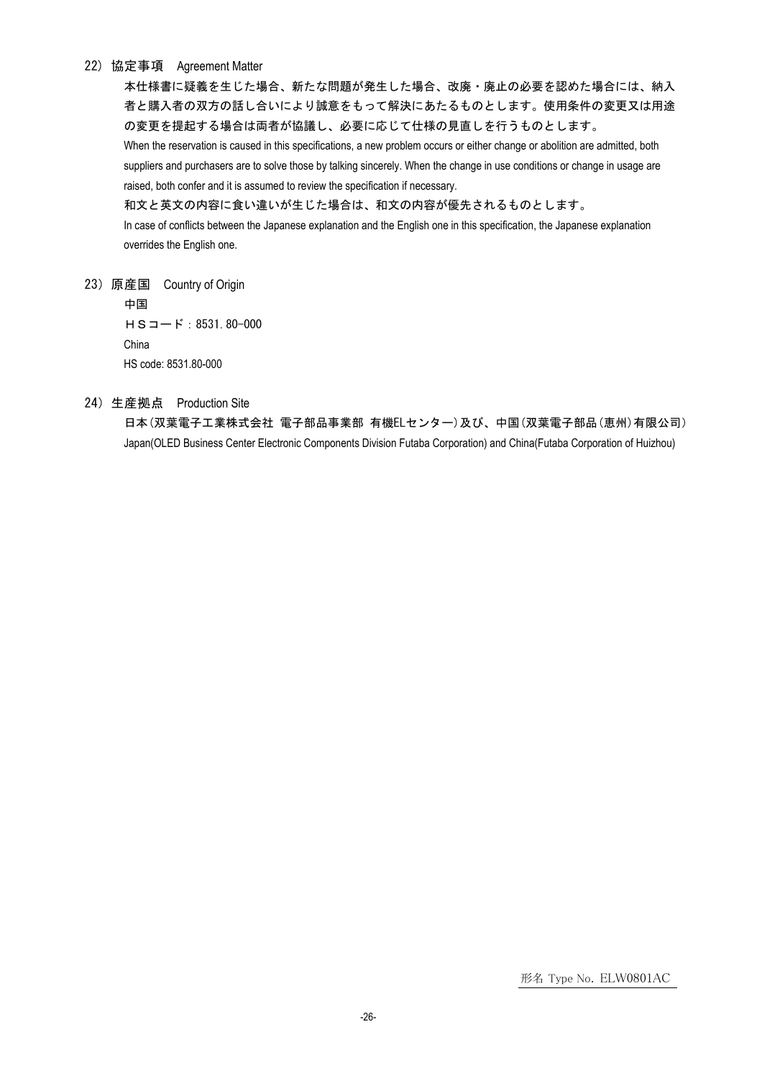#### 22) 協定事項 Agreement Matter

本仕様書に疑義を生じた場合、新たな問題が発生した場合、改廃・廃止の必要を認めた場合には、納入 者と購入者の双方の話し合いにより誠意をもって解決にあたるものとします。使用条件の変更又は用途 の変更を提起する場合は両者が協議し、必要に応じて仕様の見直しを行うものとします。 When the reservation is caused in this specifications, a new problem occurs or either change or abolition are admitted, both suppliers and purchasers are to solve those by talking sincerely. When the change in use conditions or change in usage are

raised, both confer and it is assumed to review the specification if necessary.

和文と英文の内容に食い違いが生じた場合は、和文の内容が優先されるものとします。

In case of conflicts between the Japanese explanation and the English one in this specification, the Japanese explanation overrides the English one.

23)原産国 Country of Origin

中国 HSコード:8531.80-000 China HS code: 8531.80-000

24)生産拠点 Production Site

日本(双葉電子工業株式会社 電子部品事業部 有機ELセンター)及び、中国(双葉電子部品(恵州)有限公司) Japan(OLED Business Center Electronic Components Division Futaba Corporation) and China(Futaba Corporation of Huizhou)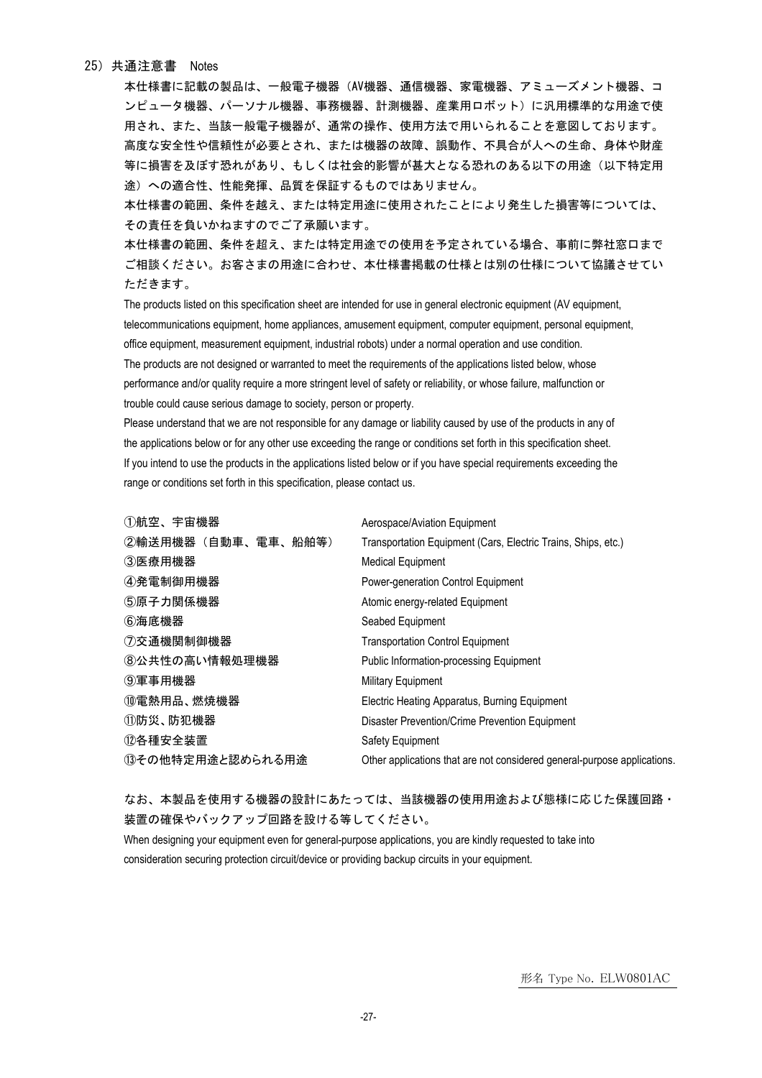#### 25)共通注意書 Notes

本仕様書に記載の製品は、一般電子機器(AV機器、通信機器、家電機器、アミューズメント機器、コ ンピュータ機器、パーソナル機器、事務機器、計測機器、産業用ロボット)に汎用標準的な用途で使 用され、また、当該一般電子機器が、通常の操作、使用方法で用いられることを意図しております。 高度な安全性や信頼性が必要とされ、または機器の故障、誤動作、不具合が人への生命、身体や財産 等に損害を及ぼす恐れがあり、もしくは社会的影響が甚大となる恐れのある以下の用途(以下特定用 途)への適合性、性能発揮、品質を保証するものではありません。

本仕様書の範囲、条件を越え、または特定用途に使用されたことにより発生した損害等については、 その責任を負いかねますのでご了承願います。

本仕様書の範囲、条件を超え、または特定用途での使用を予定されている場合、事前に弊社窓口まで ご相談ください。お客さまの用途に合わせ、本仕様書掲載の仕様とは別の仕様について協議させてい ただきます。

The products listed on this specification sheet are intended for use in general electronic equipment (AV equipment, telecommunications equipment, home appliances, amusement equipment, computer equipment, personal equipment, office equipment, measurement equipment, industrial robots) under a normal operation and use condition. The products are not designed or warranted to meet the requirements of the applications listed below, whose performance and/or quality require a more stringent level of safety or reliability, or whose failure, malfunction or trouble could cause serious damage to society, person or property.

Please understand that we are not responsible for any damage or liability caused by use of the products in any of the applications below or for any other use exceeding the range or conditions set forth in this specification sheet. If you intend to use the products in the applications listed below or if you have special requirements exceeding the range or conditions set forth in this specification, please contact us.

| ①航空、宇宙機器            | Aerospace/Aviation Equipment                                             |
|---------------------|--------------------------------------------------------------------------|
| ②輸送用機器 (自動車、電車、船舶等) | Transportation Equipment (Cars, Electric Trains, Ships, etc.)            |
| ③医療用機器              | <b>Medical Equipment</b>                                                 |
| ④発電制御用機器            | Power-generation Control Equipment                                       |
| ⑤原子力関係機器            | Atomic energy-related Equipment                                          |
| ⑥海底機器               | Seabed Equipment                                                         |
| ⑦交通機関制御機器           | <b>Transportation Control Equipment</b>                                  |
| 8公共性の高い情報処理機器       | <b>Public Information-processing Equipment</b>                           |
| ⑨軍事用機器              | <b>Military Equipment</b>                                                |
| ⑩電熱用品、燃焼機器          | Electric Heating Apparatus, Burning Equipment                            |
| ⑪防災、防犯機器            | Disaster Prevention/Crime Prevention Equipment                           |
| ⑫各種安全装置             | Safety Equipment                                                         |
| 13その他特定用途と認められる用途   | Other applications that are not considered general-purpose applications. |

なお、本製品を使用する機器の設計にあたっては、当該機器の使用用途および態様に応じた保護回路・ 装置の確保やバックアップ回路を設ける等してください。

When designing your equipment even for general-purpose applications, you are kindly requested to take into consideration securing protection circuit/device or providing backup circuits in your equipment.